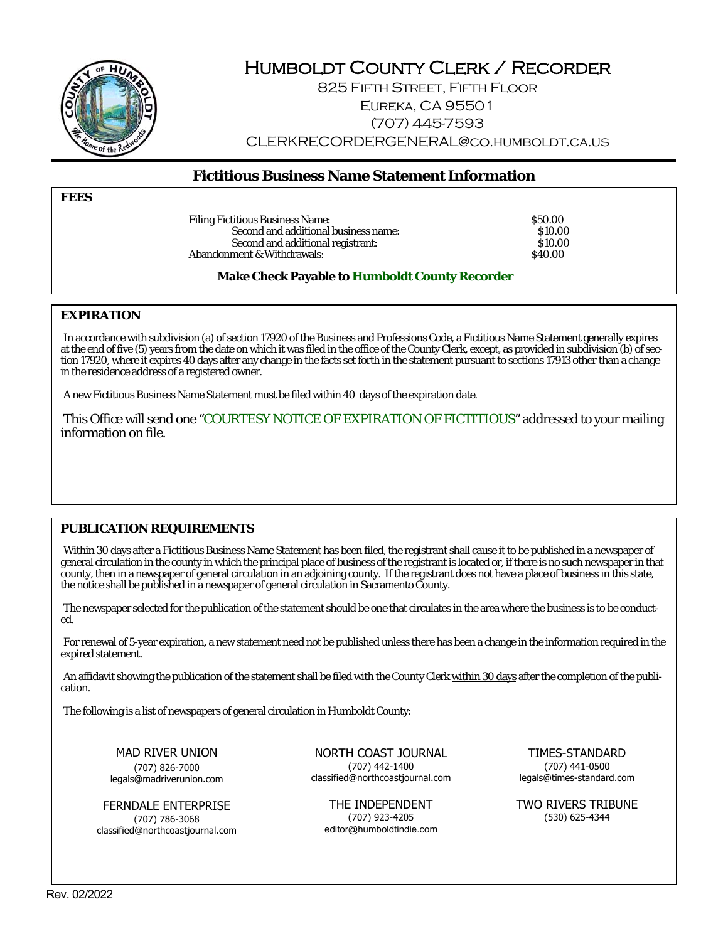

# Humboldt County Clerk / Recorder

825 Fifth Street, Fifth Floor Eureka, CA 95501 (707) 445-7593 CLERKRECORDERGENERAL@co.humboldt.ca.us

# **Fictitious Business Name Statement Information**

**FEES** 

Filing Fictitious Business Name:  $$50.00$ Second and additional business name: \$10.00<br>Second and additional registrant: \$10.00 Second and additional registrant: \$10.000 ment & Withdrawals: \$10.000 ment & Withdrawals: \$10.000 ment & Withdrawals: \$10.000 ment & Withdrawals: \$10.000 ment & Withdrawals: \$10.000 ment & Withdrawals: \$10.000 ment & Withd Abandonment & Withdrawals:

**Make Check Payable to Humboldt County Recorder**

# **EXPIRATION**

In accordance with subdivision (a) of section 17920 of the Business and Professions Code, a Fictitious Name Statement generally expires at the end of five (5) years from the date on which it was filed in the office of the County Clerk, except, as provided in subdivision (b) of section 17920, where it expires 40 days after any change in the facts set forth in the statement pursuant to sections 17913 other than a change in the residence address of a registered owner.

A new Fictitious Business Name Statement must be filed within 40 days of the expiration date.

This Office will send one "COURTESY NOTICE OF EXPIRATION OF FICTITIOUS" addressed to your mailing information on file.

# **PUBLICATION REQUIREMENTS**

Within 30 days after a Fictitious Business Name Statement has been filed, the registrant shall cause it to be published in a newspaper of general circulation in the county in which the principal place of business of the registrant is located or, if there is no such newspaper in that county, then in a newspaper of general circulation in an adjoining county. If the registrant does not have a place of business in this state, the notice shall be published in a newspaper of general circulation in Sacramento County.

The newspaper selected for the publication of the statement should be one that circulates in the area where the business is to be conducted.

For renewal of 5-year expiration, a new statement need not be published unless there has been a change in the information required in the expired statement.

An affidavit showing the publication of the statement shall be filed with the County Clerk within 30 days after the completion of the publication.

The following is a list of newspapers of general circulation in Humboldt County:

MAD RIVER UNION (707) 826-7000 legals@madriverunion.com

FERNDALE ENTERPRISE (707) 786-3068 classified@northcoastjournal.com

NORTH COAST JOURNAL (707) 442-1400 classified@northcoastjournal.com

THE INDEPENDENT (707) 923-4205 editor@humboldtindie.com

TIMES-STANDARD (707) 441-0500 legals@times-standard.com

TWO RIVERS TRIBUNE (530) 625-4344